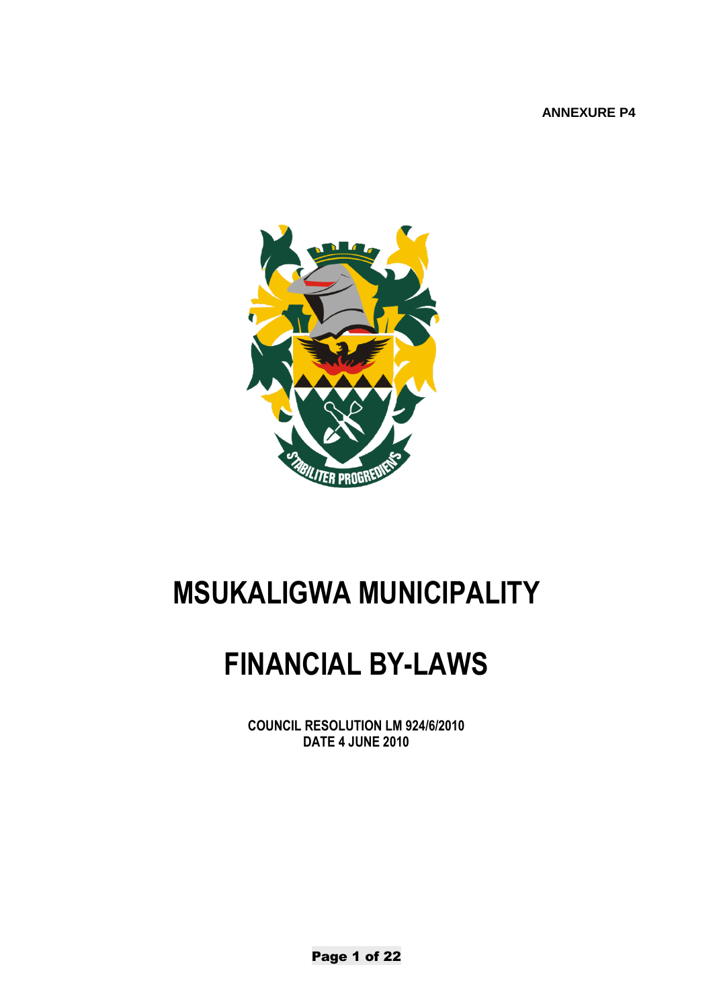**ANNEXURE P4**



# **MSUKALIGWA MUNICIPALITY**

# **FINANCIAL BY-LAWS**

**COUNCIL RESOLUTION LM 924/6/2010 DATE 4 JUNE 2010**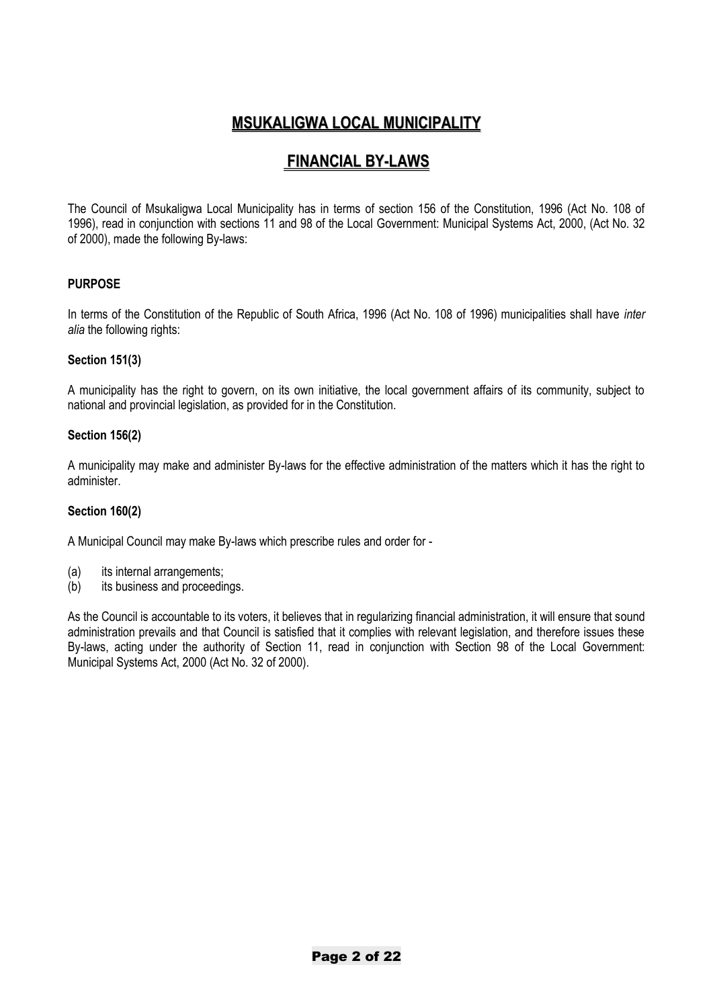# **MSUKALIGWA LOCAL MUNICIPALITY**

# **FINANCIAL BY-LAWS**

The Council of Msukaligwa Local Municipality has in terms of section 156 of the Constitution, 1996 (Act No. 108 of 1996), read in conjunction with sections 11 and 98 of the Local Government: Municipal Systems Act, 2000, (Act No. 32 of 2000), made the following By-laws:

## **PURPOSE**

In terms of the Constitution of the Republic of South Africa, 1996 (Act No. 108 of 1996) municipalities shall have *inter*  alia the following rights:

#### **Section 151(3)**

A municipality has the right to govern, on its own initiative, the local government affairs of its community, subject to national and provincial legislation, as provided for in the Constitution.

#### **Section 156(2)**

A municipality may make and administer By-laws for the effective administration of the matters which it has the right to administer.

#### **Section 160(2)**

A Municipal Council may make By-laws which prescribe rules and order for -

- (a) its internal arrangements;
- (b) its business and proceedings.

As the Council is accountable to its voters, it believes that in regularizing financial administration, it will ensure that sound administration prevails and that Council is satisfied that it complies with relevant legislation, and therefore issues these By-laws, acting under the authority of Section 11, read in conjunction with Section 98 of the Local Government: Municipal Systems Act, 2000 (Act No. 32 of 2000).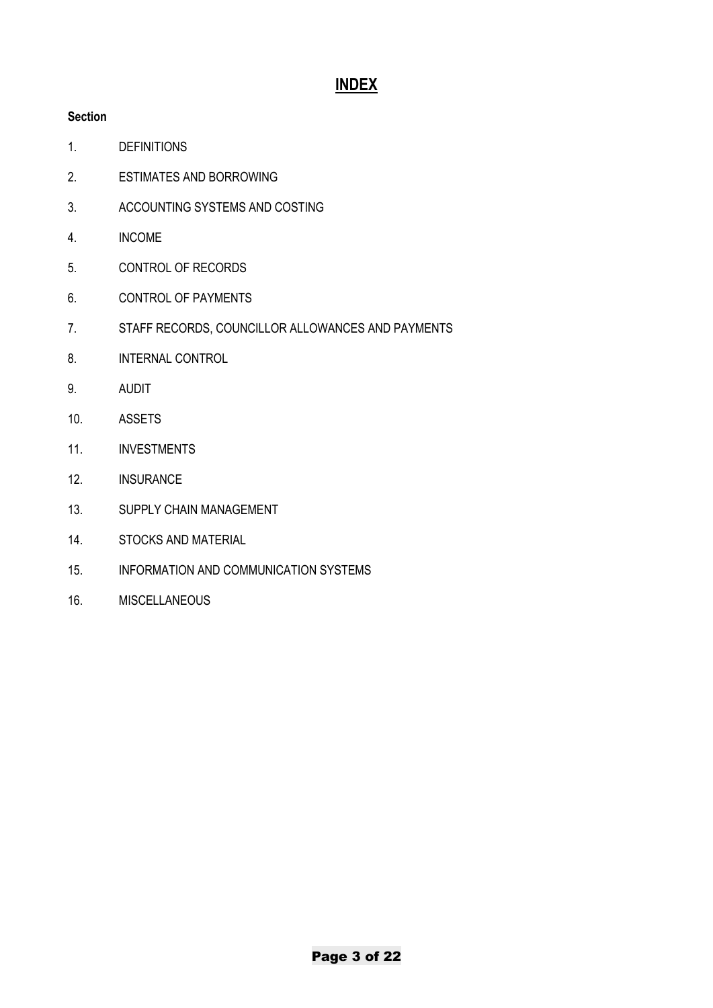# **INDEX**

# **Section**

- 1. DEFINITIONS
- 2. ESTIMATES AND BORROWING
- 3. ACCOUNTING SYSTEMS AND COSTING
- 4. INCOME
- 5. CONTROL OF RECORDS
- 6. CONTROL OF PAYMENTS
- 7. STAFF RECORDS, COUNCILLOR ALLOWANCES AND PAYMENTS
- 8. INTERNAL CONTROL
- 9. AUDIT
- 10. ASSETS
- 11. INVESTMENTS
- 12. INSURANCE
- 13. SUPPLY CHAIN MANAGEMENT
- 14. STOCKS AND MATERIAL
- 15. INFORMATION AND COMMUNICATION SYSTEMS
- 16. MISCELLANEOUS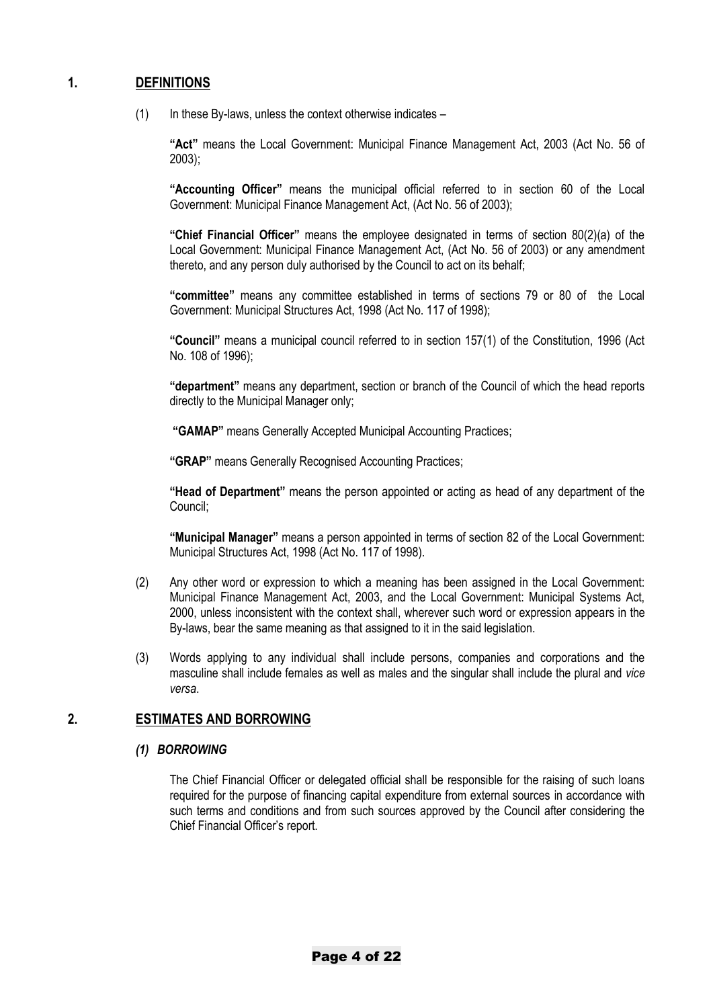## **1. DEFINITIONS**

 $(1)$  In these By-laws, unless the context otherwise indicates –

**"Act"** means the Local Government: Municipal Finance Management Act, 2003 (Act No. 56 of 2003);

**"Accounting Officer"** means the municipal official referred to in section 60 of the Local Government: Municipal Finance Management Act, (Act No. 56 of 2003);

**"Chief Financial Officer"** means the employee designated in terms of section 80(2)(a) of the Local Government: Municipal Finance Management Act, (Act No. 56 of 2003) or any amendment thereto, and any person duly authorised by the Council to act on its behalf;

**"committee"** means any committee established in terms of sections 79 or 80 of the Local Government: Municipal Structures Act, 1998 (Act No. 117 of 1998);

**"Council"** means a municipal council referred to in section 157(1) of the Constitution, 1996 (Act No. 108 of 1996);

**"department"** means any department, section or branch of the Council of which the head reports directly to the Municipal Manager only;

**"GAMAP"** means Generally Accepted Municipal Accounting Practices;

**"GRAP"** means Generally Recognised Accounting Practices;

**"Head of Department"** means the person appointed or acting as head of any department of the Council;

**"Municipal Manager"** means a person appointed in terms of section 82 of the Local Government: Municipal Structures Act, 1998 (Act No. 117 of 1998).

- (2) Any other word or expression to which a meaning has been assigned in the Local Government: Municipal Finance Management Act, 2003, and the Local Government: Municipal Systems Act, 2000, unless inconsistent with the context shall, wherever such word or expression appears in the By-laws, bear the same meaning as that assigned to it in the said legislation.
- (3) Words applying to any individual shall include persons, companies and corporations and the masculine shall include females as well as males and the singular shall include the plural and *vice versa*.

# **2. ESTIMATES AND BORROWING**

#### *(1) BORROWING*

The Chief Financial Officer or delegated official shall be responsible for the raising of such loans required for the purpose of financing capital expenditure from external sources in accordance with such terms and conditions and from such sources approved by the Council after considering the Chief Financial Officer's report.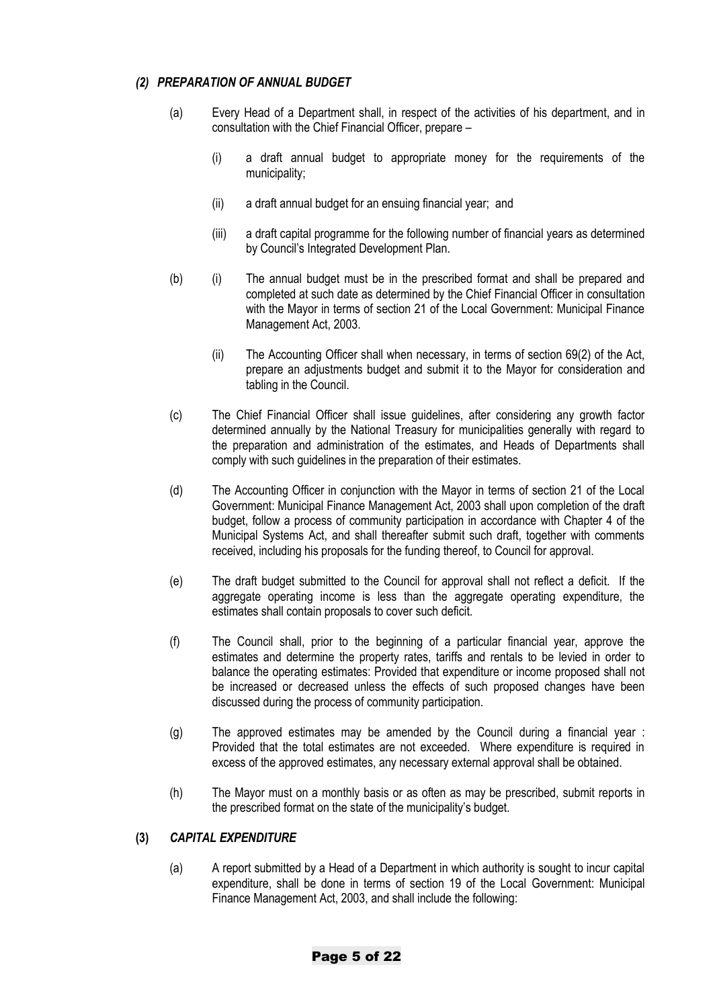#### *(2) PREPARATION OF ANNUAL BUDGET*

- (a) Every Head of a Department shall, in respect of the activities of his department, and in consultation with the Chief Financial Officer, prepare –
	- (i) a draft annual budget to appropriate money for the requirements of the municipality;
	- (ii) a draft annual budget for an ensuing financial year; and
	- (iii) a draft capital programme for the following number of financial years as determined by Council's Integrated Development Plan.
- (b) (i) The annual budget must be in the prescribed format and shall be prepared and completed at such date as determined by the Chief Financial Officer in consultation with the Mayor in terms of section 21 of the Local Government: Municipal Finance Management Act, 2003.
	- (ii) The Accounting Officer shall when necessary, in terms of section 69(2) of the Act, prepare an adjustments budget and submit it to the Mayor for consideration and tabling in the Council.
- (c) The Chief Financial Officer shall issue guidelines, after considering any growth factor determined annually by the National Treasury for municipalities generally with regard to the preparation and administration of the estimates, and Heads of Departments shall comply with such guidelines in the preparation of their estimates.
- (d) The Accounting Officer in conjunction with the Mayor in terms of section 21 of the Local Government: Municipal Finance Management Act, 2003 shall upon completion of the draft budget, follow a process of community participation in accordance with Chapter 4 of the Municipal Systems Act, and shall thereafter submit such draft, together with comments received, including his proposals for the funding thereof, to Council for approval.
- (e) The draft budget submitted to the Council for approval shall not reflect a deficit. If the aggregate operating income is less than the aggregate operating expenditure, the estimates shall contain proposals to cover such deficit.
- (f) The Council shall, prior to the beginning of a particular financial year, approve the estimates and determine the property rates, tariffs and rentals to be levied in order to balance the operating estimates: Provided that expenditure or income proposed shall not be increased or decreased unless the effects of such proposed changes have been discussed during the process of community participation.
- (g) The approved estimates may be amended by the Council during a financial year : Provided that the total estimates are not exceeded. Where expenditure is required in excess of the approved estimates, any necessary external approval shall be obtained.
- (h) The Mayor must on a monthly basis or as often as may be prescribed, submit reports in the prescribed format on the state of the municipality's budget.

#### **(3)** *CAPITAL EXPENDITURE*

(a) A report submitted by a Head of a Department in which authority is sought to incur capital expenditure, shall be done in terms of section 19 of the Local Government: Municipal Finance Management Act, 2003, and shall include the following: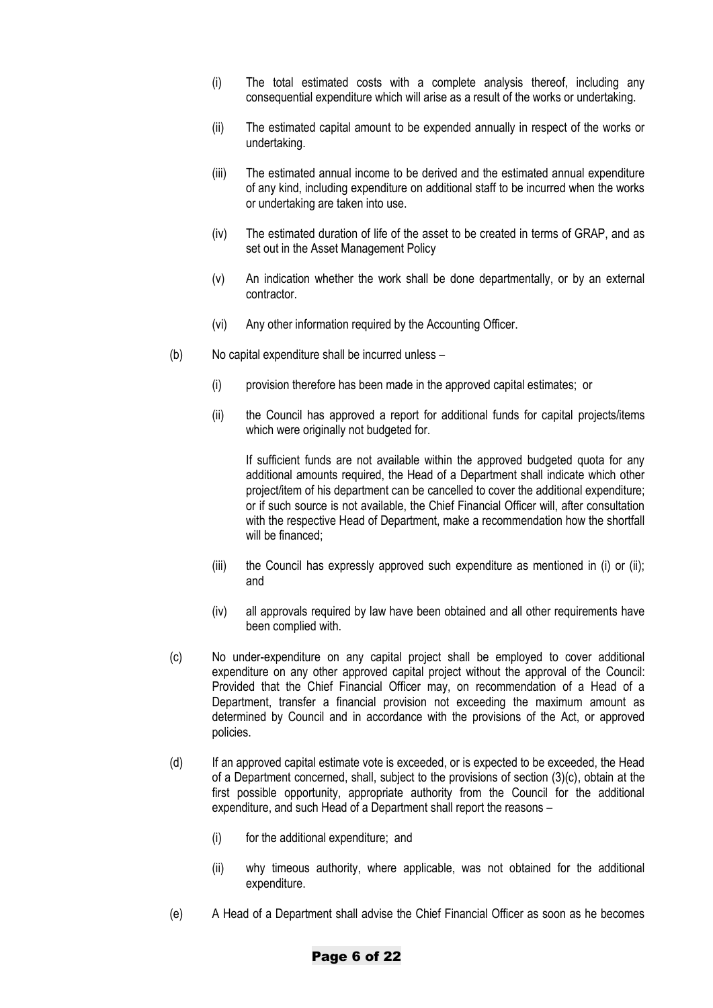- (i) The total estimated costs with a complete analysis thereof, including any consequential expenditure which will arise as a result of the works or undertaking.
- (ii) The estimated capital amount to be expended annually in respect of the works or undertaking.
- (iii) The estimated annual income to be derived and the estimated annual expenditure of any kind, including expenditure on additional staff to be incurred when the works or undertaking are taken into use.
- (iv) The estimated duration of life of the asset to be created in terms of GRAP, and as set out in the Asset Management Policy
- (v) An indication whether the work shall be done departmentally, or by an external contractor.
- (vi) Any other information required by the Accounting Officer.
- (b) No capital expenditure shall be incurred unless
	- (i) provision therefore has been made in the approved capital estimates; or
	- (ii) the Council has approved a report for additional funds for capital projects/items which were originally not budgeted for.

If sufficient funds are not available within the approved budgeted quota for any additional amounts required, the Head of a Department shall indicate which other project/item of his department can be cancelled to cover the additional expenditure; or if such source is not available, the Chief Financial Officer will, after consultation with the respective Head of Department, make a recommendation how the shortfall will be financed:

- (iii) the Council has expressly approved such expenditure as mentioned in (i) or (ii); and
- (iv) all approvals required by law have been obtained and all other requirements have been complied with.
- (c) No under-expenditure on any capital project shall be employed to cover additional expenditure on any other approved capital project without the approval of the Council: Provided that the Chief Financial Officer may, on recommendation of a Head of a Department, transfer a financial provision not exceeding the maximum amount as determined by Council and in accordance with the provisions of the Act, or approved policies.
- (d) If an approved capital estimate vote is exceeded, or is expected to be exceeded, the Head of a Department concerned, shall, subject to the provisions of section (3)(c), obtain at the first possible opportunity, appropriate authority from the Council for the additional expenditure, and such Head of a Department shall report the reasons –
	- (i) for the additional expenditure; and
	- (ii) why timeous authority, where applicable, was not obtained for the additional expenditure.
- (e) A Head of a Department shall advise the Chief Financial Officer as soon as he becomes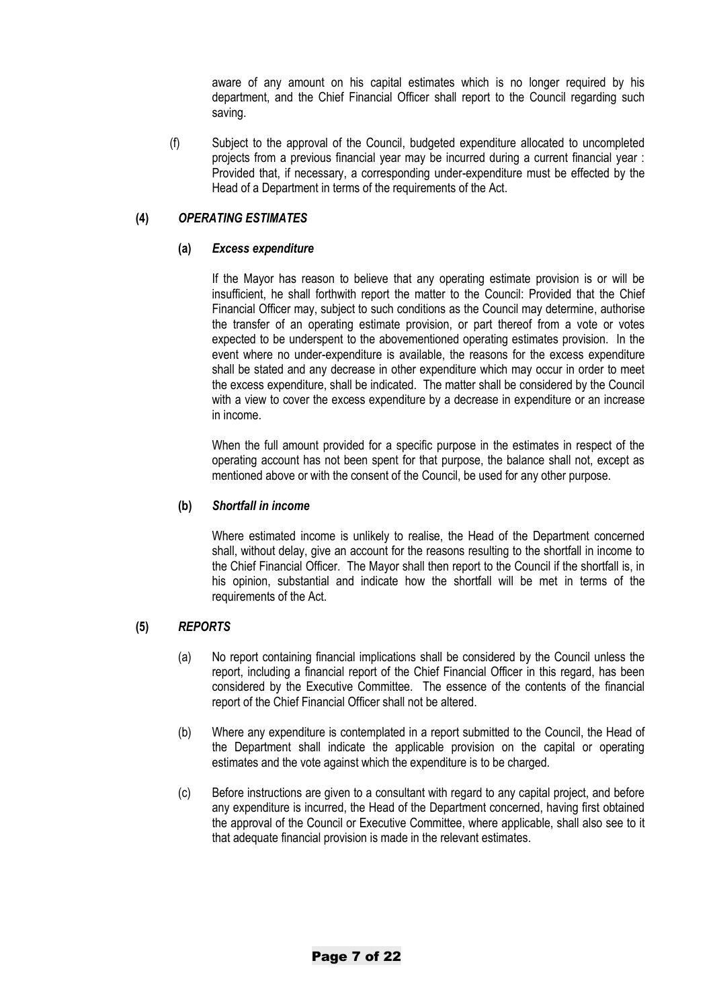aware of any amount on his capital estimates which is no longer required by his department, and the Chief Financial Officer shall report to the Council regarding such saving.

(f) Subject to the approval of the Council, budgeted expenditure allocated to uncompleted projects from a previous financial year may be incurred during a current financial year : Provided that, if necessary, a corresponding under-expenditure must be effected by the Head of a Department in terms of the requirements of the Act.

#### **(4)** *OPERATING ESTIMATES*

#### **(a)** *Excess expenditure*

If the Mayor has reason to believe that any operating estimate provision is or will be insufficient, he shall forthwith report the matter to the Council: Provided that the Chief Financial Officer may, subject to such conditions as the Council may determine, authorise the transfer of an operating estimate provision, or part thereof from a vote or votes expected to be underspent to the abovementioned operating estimates provision. In the event where no under-expenditure is available, the reasons for the excess expenditure shall be stated and any decrease in other expenditure which may occur in order to meet the excess expenditure, shall be indicated. The matter shall be considered by the Council with a view to cover the excess expenditure by a decrease in expenditure or an increase in income.

When the full amount provided for a specific purpose in the estimates in respect of the operating account has not been spent for that purpose, the balance shall not, except as mentioned above or with the consent of the Council, be used for any other purpose.

#### **(b)** *Shortfall in income*

Where estimated income is unlikely to realise, the Head of the Department concerned shall, without delay, give an account for the reasons resulting to the shortfall in income to the Chief Financial Officer. The Mayor shall then report to the Council if the shortfall is, in his opinion, substantial and indicate how the shortfall will be met in terms of the requirements of the Act.

# **(5)** *REPORTS*

- (a) No report containing financial implications shall be considered by the Council unless the report, including a financial report of the Chief Financial Officer in this regard, has been considered by the Executive Committee. The essence of the contents of the financial report of the Chief Financial Officer shall not be altered.
- (b) Where any expenditure is contemplated in a report submitted to the Council, the Head of the Department shall indicate the applicable provision on the capital or operating estimates and the vote against which the expenditure is to be charged.
- (c) Before instructions are given to a consultant with regard to any capital project, and before any expenditure is incurred, the Head of the Department concerned, having first obtained the approval of the Council or Executive Committee, where applicable, shall also see to it that adequate financial provision is made in the relevant estimates.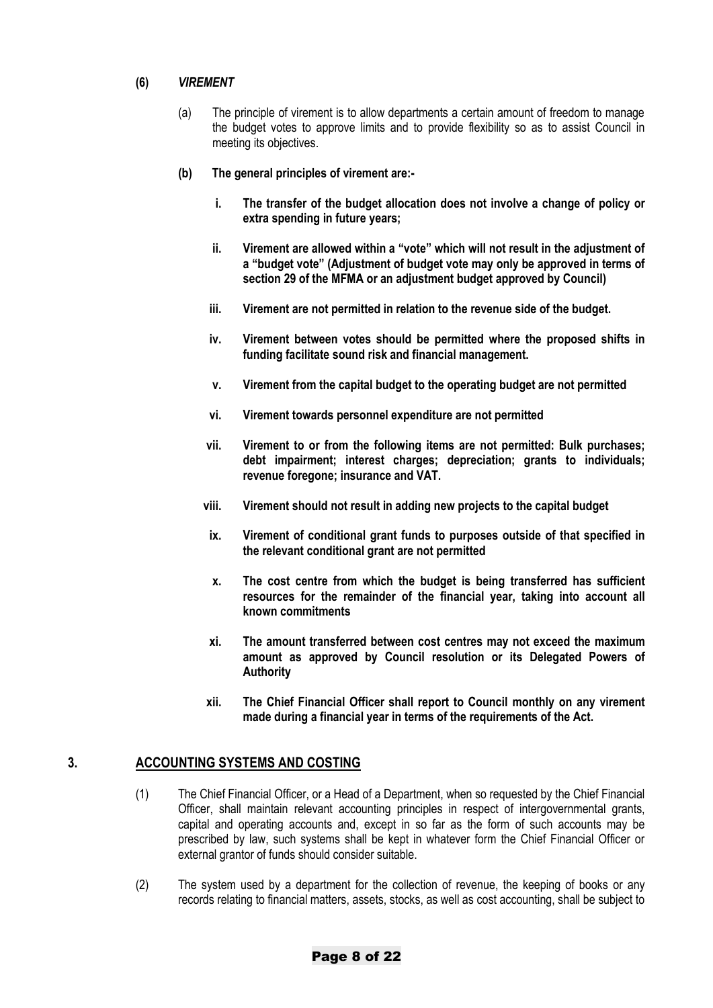#### **(6)** *VIREMENT*

- (a) The principle of virement is to allow departments a certain amount of freedom to manage the budget votes to approve limits and to provide flexibility so as to assist Council in meeting its objectives.
- **(b) The general principles of virement are:**
	- **i. The transfer of the budget allocation does not involve a change of policy or extra spending in future years;**
	- **ii. Virement are allowed within a "vote" which will not result in the adjustment of a "budget vote" (Adjustment of budget vote may only be approved in terms of section 29 of the MFMA or an adjustment budget approved by Council)**
	- **iii. Virement are not permitted in relation to the revenue side of the budget.**
	- **iv. Virement between votes should be permitted where the proposed shifts in funding facilitate sound risk and financial management.**
	- **v. Virement from the capital budget to the operating budget are not permitted**
	- **vi. Virement towards personnel expenditure are not permitted**
	- **vii. Virement to or from the following items are not permitted: Bulk purchases; debt impairment; interest charges; depreciation; grants to individuals; revenue foregone; insurance and VAT.**
	- **viii. Virement should not result in adding new projects to the capital budget**
	- **ix. Virement of conditional grant funds to purposes outside of that specified in the relevant conditional grant are not permitted**
	- **x. The cost centre from which the budget is being transferred has sufficient resources for the remainder of the financial year, taking into account all known commitments**
	- **xi. The amount transferred between cost centres may not exceed the maximum amount as approved by Council resolution or its Delegated Powers of Authority**
	- **xii. The Chief Financial Officer shall report to Council monthly on any virement made during a financial year in terms of the requirements of the Act.**

# **3. ACCOUNTING SYSTEMS AND COSTING**

- (1) The Chief Financial Officer, or a Head of a Department, when so requested by the Chief Financial Officer, shall maintain relevant accounting principles in respect of intergovernmental grants, capital and operating accounts and, except in so far as the form of such accounts may be prescribed by law, such systems shall be kept in whatever form the Chief Financial Officer or external grantor of funds should consider suitable.
- (2) The system used by a department for the collection of revenue, the keeping of books or any records relating to financial matters, assets, stocks, as well as cost accounting, shall be subject to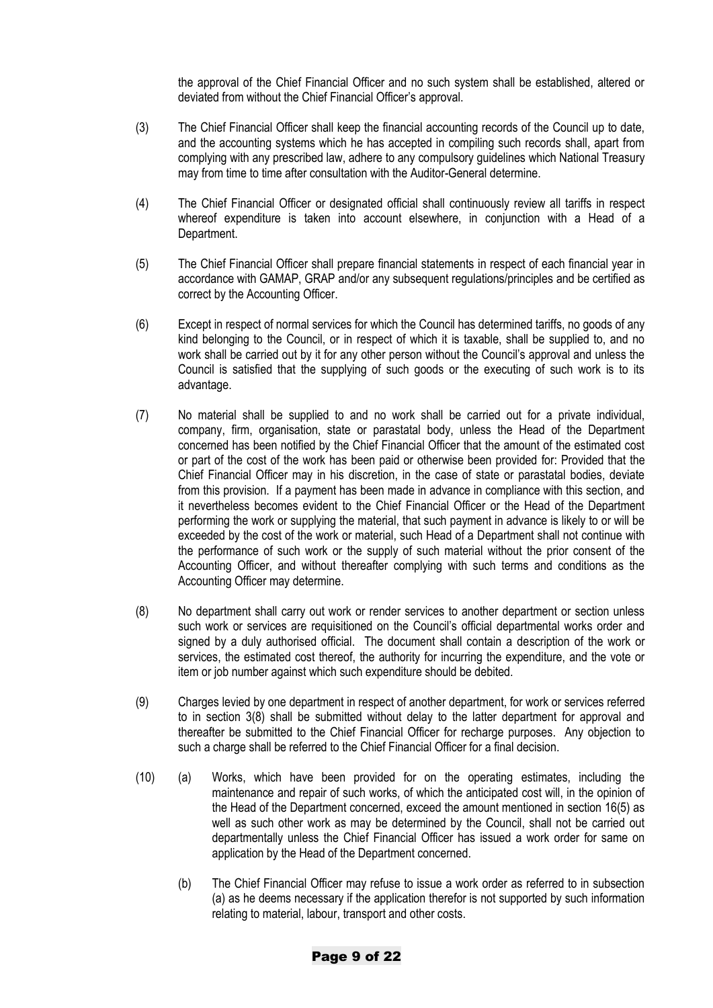the approval of the Chief Financial Officer and no such system shall be established, altered or deviated from without the Chief Financial Officer's approval.

- (3) The Chief Financial Officer shall keep the financial accounting records of the Council up to date, and the accounting systems which he has accepted in compiling such records shall, apart from complying with any prescribed law, adhere to any compulsory guidelines which National Treasury may from time to time after consultation with the Auditor-General determine.
- (4) The Chief Financial Officer or designated official shall continuously review all tariffs in respect whereof expenditure is taken into account elsewhere, in conjunction with a Head of a Department.
- (5) The Chief Financial Officer shall prepare financial statements in respect of each financial year in accordance with GAMAP, GRAP and/or any subsequent regulations/principles and be certified as correct by the Accounting Officer.
- (6) Except in respect of normal services for which the Council has determined tariffs, no goods of any kind belonging to the Council, or in respect of which it is taxable, shall be supplied to, and no work shall be carried out by it for any other person without the Council's approval and unless the Council is satisfied that the supplying of such goods or the executing of such work is to its advantage.
- (7) No material shall be supplied to and no work shall be carried out for a private individual, company, firm, organisation, state or parastatal body, unless the Head of the Department concerned has been notified by the Chief Financial Officer that the amount of the estimated cost or part of the cost of the work has been paid or otherwise been provided for: Provided that the Chief Financial Officer may in his discretion, in the case of state or parastatal bodies, deviate from this provision. If a payment has been made in advance in compliance with this section, and it nevertheless becomes evident to the Chief Financial Officer or the Head of the Department performing the work or supplying the material, that such payment in advance is likely to or will be exceeded by the cost of the work or material, such Head of a Department shall not continue with the performance of such work or the supply of such material without the prior consent of the Accounting Officer, and without thereafter complying with such terms and conditions as the Accounting Officer may determine.
- (8) No department shall carry out work or render services to another department or section unless such work or services are requisitioned on the Council's official departmental works order and signed by a duly authorised official. The document shall contain a description of the work or services, the estimated cost thereof, the authority for incurring the expenditure, and the vote or item or job number against which such expenditure should be debited.
- (9) Charges levied by one department in respect of another department, for work or services referred to in section 3(8) shall be submitted without delay to the latter department for approval and thereafter be submitted to the Chief Financial Officer for recharge purposes. Any objection to such a charge shall be referred to the Chief Financial Officer for a final decision.
- (10) (a) Works, which have been provided for on the operating estimates, including the maintenance and repair of such works, of which the anticipated cost will, in the opinion of the Head of the Department concerned, exceed the amount mentioned in section 16(5) as well as such other work as may be determined by the Council, shall not be carried out departmentally unless the Chief Financial Officer has issued a work order for same on application by the Head of the Department concerned.
	- (b) The Chief Financial Officer may refuse to issue a work order as referred to in subsection (a) as he deems necessary if the application therefor is not supported by such information relating to material, labour, transport and other costs.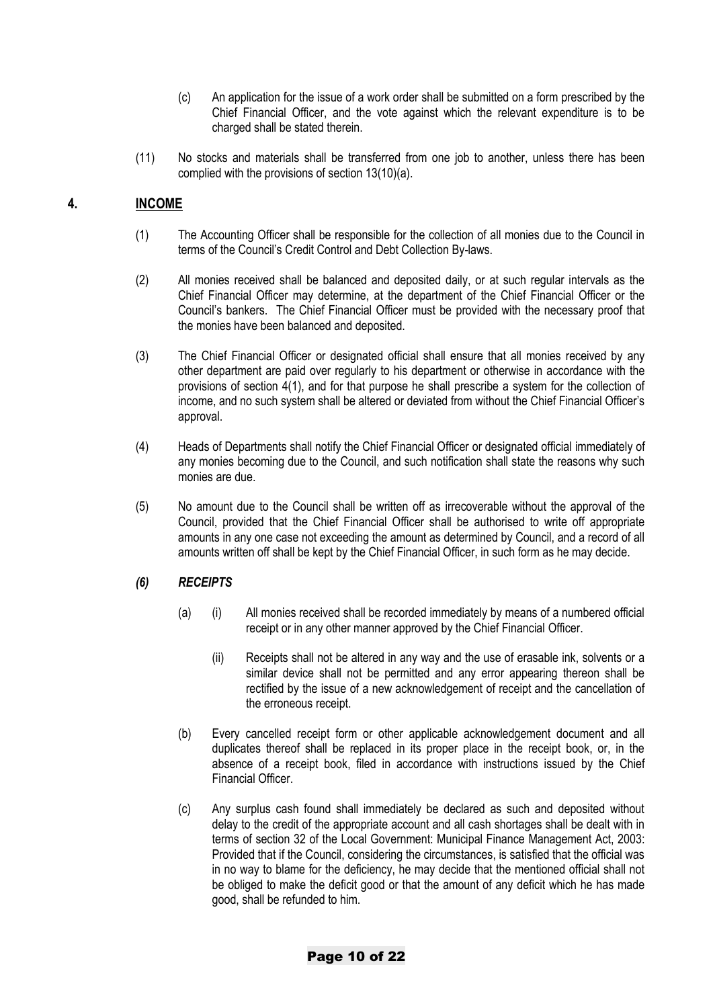- (c) An application for the issue of a work order shall be submitted on a form prescribed by the Chief Financial Officer, and the vote against which the relevant expenditure is to be charged shall be stated therein.
- (11) No stocks and materials shall be transferred from one job to another, unless there has been complied with the provisions of section 13(10)(a).

## **4. INCOME**

- (1) The Accounting Officer shall be responsible for the collection of all monies due to the Council in terms of the Council's Credit Control and Debt Collection By-laws.
- (2) All monies received shall be balanced and deposited daily, or at such regular intervals as the Chief Financial Officer may determine, at the department of the Chief Financial Officer or the Council's bankers. The Chief Financial Officer must be provided with the necessary proof that the monies have been balanced and deposited.
- (3) The Chief Financial Officer or designated official shall ensure that all monies received by any other department are paid over regularly to his department or otherwise in accordance with the provisions of section 4(1), and for that purpose he shall prescribe a system for the collection of income, and no such system shall be altered or deviated from without the Chief Financial Officer's approval.
- (4) Heads of Departments shall notify the Chief Financial Officer or designated official immediately of any monies becoming due to the Council, and such notification shall state the reasons why such monies are due.
- (5) No amount due to the Council shall be written off as irrecoverable without the approval of the Council, provided that the Chief Financial Officer shall be authorised to write off appropriate amounts in any one case not exceeding the amount as determined by Council, and a record of all amounts written off shall be kept by the Chief Financial Officer, in such form as he may decide.

#### *(6) RECEIPTS*

- (a) (i) All monies received shall be recorded immediately by means of a numbered official receipt or in any other manner approved by the Chief Financial Officer.
	- (ii) Receipts shall not be altered in any way and the use of erasable ink, solvents or a similar device shall not be permitted and any error appearing thereon shall be rectified by the issue of a new acknowledgement of receipt and the cancellation of the erroneous receipt.
- (b) Every cancelled receipt form or other applicable acknowledgement document and all duplicates thereof shall be replaced in its proper place in the receipt book, or, in the absence of a receipt book, filed in accordance with instructions issued by the Chief Financial Officer.
- (c) Any surplus cash found shall immediately be declared as such and deposited without delay to the credit of the appropriate account and all cash shortages shall be dealt with in terms of section 32 of the Local Government: Municipal Finance Management Act, 2003: Provided that if the Council, considering the circumstances, is satisfied that the official was in no way to blame for the deficiency, he may decide that the mentioned official shall not be obliged to make the deficit good or that the amount of any deficit which he has made good, shall be refunded to him.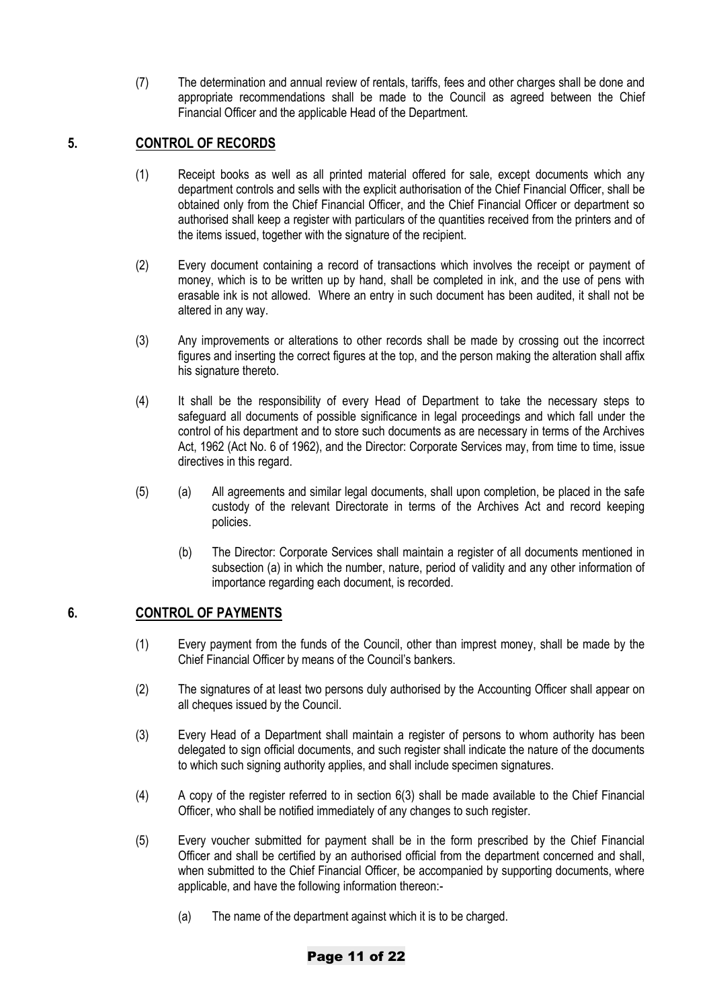(7) The determination and annual review of rentals, tariffs, fees and other charges shall be done and appropriate recommendations shall be made to the Council as agreed between the Chief Financial Officer and the applicable Head of the Department.

# **5. CONTROL OF RECORDS**

- (1) Receipt books as well as all printed material offered for sale, except documents which any department controls and sells with the explicit authorisation of the Chief Financial Officer, shall be obtained only from the Chief Financial Officer, and the Chief Financial Officer or department so authorised shall keep a register with particulars of the quantities received from the printers and of the items issued, together with the signature of the recipient.
- (2) Every document containing a record of transactions which involves the receipt or payment of money, which is to be written up by hand, shall be completed in ink, and the use of pens with erasable ink is not allowed. Where an entry in such document has been audited, it shall not be altered in any way.
- (3) Any improvements or alterations to other records shall be made by crossing out the incorrect figures and inserting the correct figures at the top, and the person making the alteration shall affix his signature thereto.
- (4) It shall be the responsibility of every Head of Department to take the necessary steps to safeguard all documents of possible significance in legal proceedings and which fall under the control of his department and to store such documents as are necessary in terms of the Archives Act, 1962 (Act No. 6 of 1962), and the Director: Corporate Services may, from time to time, issue directives in this regard.
- (5) (a) All agreements and similar legal documents, shall upon completion, be placed in the safe custody of the relevant Directorate in terms of the Archives Act and record keeping policies.
	- (b) The Director: Corporate Services shall maintain a register of all documents mentioned in subsection (a) in which the number, nature, period of validity and any other information of importance regarding each document, is recorded.

# **6. CONTROL OF PAYMENTS**

- (1) Every payment from the funds of the Council, other than imprest money, shall be made by the Chief Financial Officer by means of the Council's bankers.
- (2) The signatures of at least two persons duly authorised by the Accounting Officer shall appear on all cheques issued by the Council.
- (3) Every Head of a Department shall maintain a register of persons to whom authority has been delegated to sign official documents, and such register shall indicate the nature of the documents to which such signing authority applies, and shall include specimen signatures.
- (4) A copy of the register referred to in section 6(3) shall be made available to the Chief Financial Officer, who shall be notified immediately of any changes to such register.
- (5) Every voucher submitted for payment shall be in the form prescribed by the Chief Financial Officer and shall be certified by an authorised official from the department concerned and shall, when submitted to the Chief Financial Officer, be accompanied by supporting documents, where applicable, and have the following information thereon:-
	- (a) The name of the department against which it is to be charged.

#### Page 11 of 22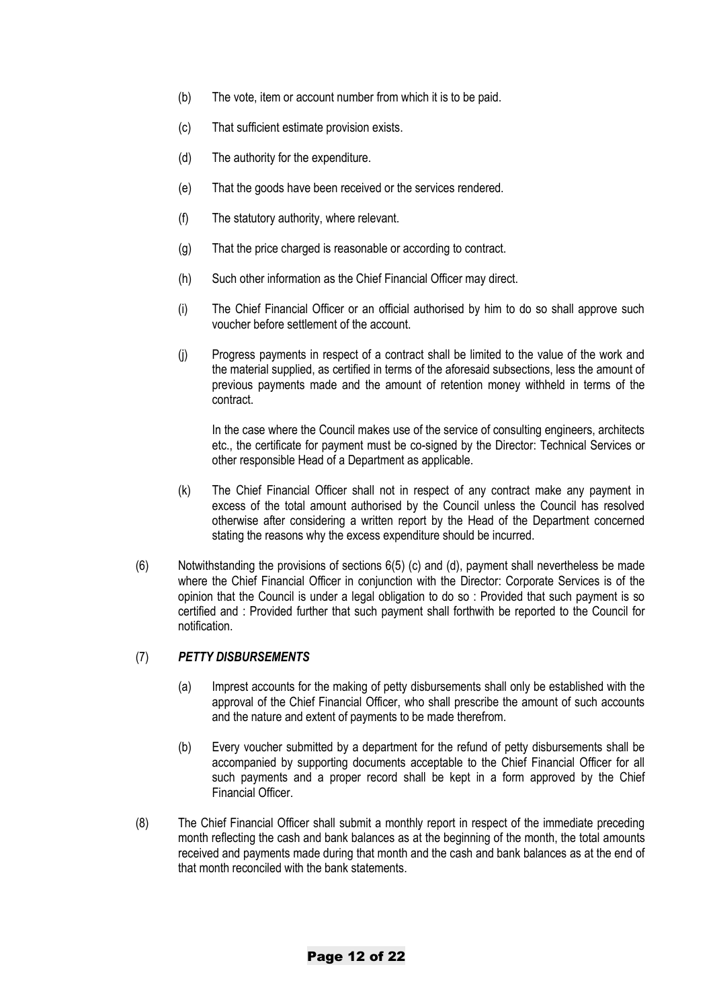- (b) The vote, item or account number from which it is to be paid.
- (c) That sufficient estimate provision exists.
- (d) The authority for the expenditure.
- (e) That the goods have been received or the services rendered.
- (f) The statutory authority, where relevant.
- (g) That the price charged is reasonable or according to contract.
- (h) Such other information as the Chief Financial Officer may direct.
- (i) The Chief Financial Officer or an official authorised by him to do so shall approve such voucher before settlement of the account.
- (j) Progress payments in respect of a contract shall be limited to the value of the work and the material supplied, as certified in terms of the aforesaid subsections, less the amount of previous payments made and the amount of retention money withheld in terms of the contract.

In the case where the Council makes use of the service of consulting engineers, architects etc., the certificate for payment must be co-signed by the Director: Technical Services or other responsible Head of a Department as applicable.

- (k) The Chief Financial Officer shall not in respect of any contract make any payment in excess of the total amount authorised by the Council unless the Council has resolved otherwise after considering a written report by the Head of the Department concerned stating the reasons why the excess expenditure should be incurred.
- (6) Notwithstanding the provisions of sections 6(5) (c) and (d), payment shall nevertheless be made where the Chief Financial Officer in conjunction with the Director: Corporate Services is of the opinion that the Council is under a legal obligation to do so : Provided that such payment is so certified and : Provided further that such payment shall forthwith be reported to the Council for notification.

#### (7) *PETTY DISBURSEMENTS*

- (a) Imprest accounts for the making of petty disbursements shall only be established with the approval of the Chief Financial Officer, who shall prescribe the amount of such accounts and the nature and extent of payments to be made therefrom.
- (b) Every voucher submitted by a department for the refund of petty disbursements shall be accompanied by supporting documents acceptable to the Chief Financial Officer for all such payments and a proper record shall be kept in a form approved by the Chief Financial Officer.
- (8) The Chief Financial Officer shall submit a monthly report in respect of the immediate preceding month reflecting the cash and bank balances as at the beginning of the month, the total amounts received and payments made during that month and the cash and bank balances as at the end of that month reconciled with the bank statements.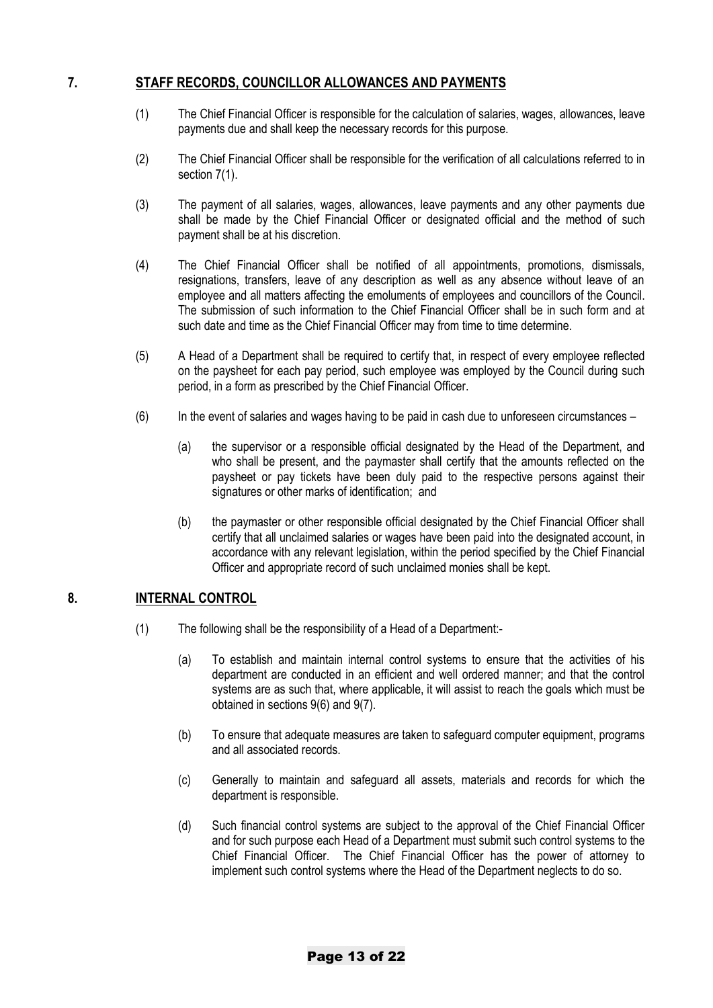# **7. STAFF RECORDS, COUNCILLOR ALLOWANCES AND PAYMENTS**

- (1) The Chief Financial Officer is responsible for the calculation of salaries, wages, allowances, leave payments due and shall keep the necessary records for this purpose.
- (2) The Chief Financial Officer shall be responsible for the verification of all calculations referred to in section 7(1).
- (3) The payment of all salaries, wages, allowances, leave payments and any other payments due shall be made by the Chief Financial Officer or designated official and the method of such payment shall be at his discretion.
- (4) The Chief Financial Officer shall be notified of all appointments, promotions, dismissals, resignations, transfers, leave of any description as well as any absence without leave of an employee and all matters affecting the emoluments of employees and councillors of the Council. The submission of such information to the Chief Financial Officer shall be in such form and at such date and time as the Chief Financial Officer may from time to time determine.
- (5) A Head of a Department shall be required to certify that, in respect of every employee reflected on the paysheet for each pay period, such employee was employed by the Council during such period, in a form as prescribed by the Chief Financial Officer.
- (6) In the event of salaries and wages having to be paid in cash due to unforeseen circumstances
	- (a) the supervisor or a responsible official designated by the Head of the Department, and who shall be present, and the paymaster shall certify that the amounts reflected on the paysheet or pay tickets have been duly paid to the respective persons against their signatures or other marks of identification; and
	- (b) the paymaster or other responsible official designated by the Chief Financial Officer shall certify that all unclaimed salaries or wages have been paid into the designated account, in accordance with any relevant legislation, within the period specified by the Chief Financial Officer and appropriate record of such unclaimed monies shall be kept.

# **8. INTERNAL CONTROL**

- (1) The following shall be the responsibility of a Head of a Department:-
	- (a) To establish and maintain internal control systems to ensure that the activities of his department are conducted in an efficient and well ordered manner; and that the control systems are as such that, where applicable, it will assist to reach the goals which must be obtained in sections 9(6) and 9(7).
	- (b) To ensure that adequate measures are taken to safeguard computer equipment, programs and all associated records.
	- (c) Generally to maintain and safeguard all assets, materials and records for which the department is responsible.
	- (d) Such financial control systems are subject to the approval of the Chief Financial Officer and for such purpose each Head of a Department must submit such control systems to the Chief Financial Officer. The Chief Financial Officer has the power of attorney to implement such control systems where the Head of the Department neglects to do so.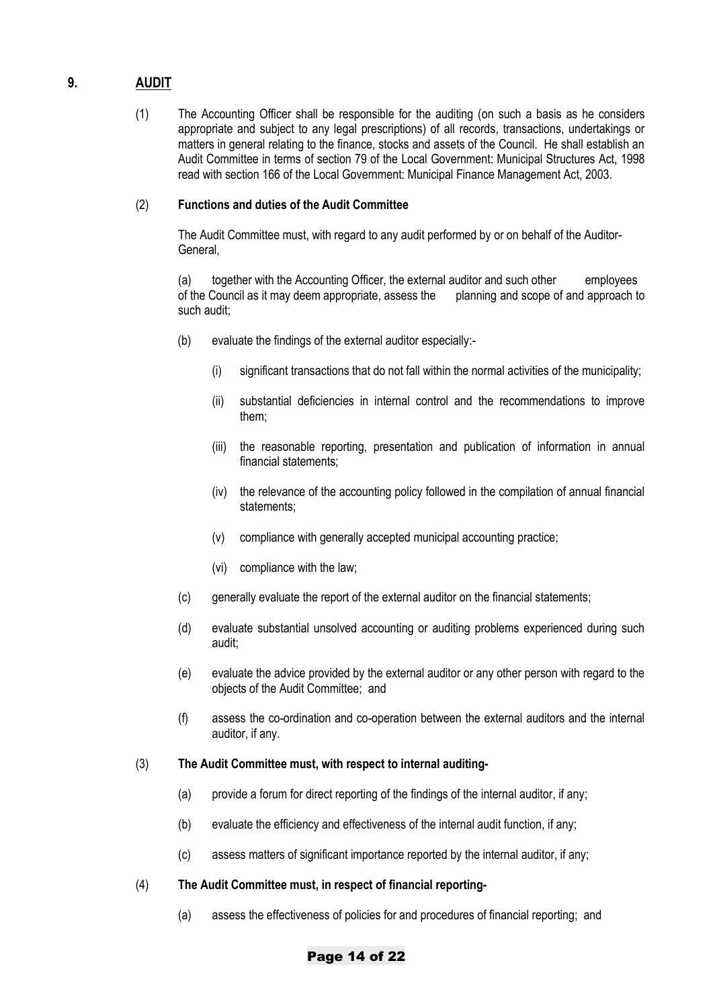# **9. AUDIT**

(1) The Accounting Officer shall be responsible for the auditing (on such a basis as he considers appropriate and subject to any legal prescriptions) of all records, transactions, undertakings or matters in general relating to the finance, stocks and assets of the Council. He shall establish an Audit Committee in terms of section 79 of the Local Government: Municipal Structures Act, 1998 read with section 166 of the Local Government: Municipal Finance Management Act, 2003.

#### (2) **Functions and duties of the Audit Committee**

The Audit Committee must, with regard to any audit performed by or on behalf of the Auditor-General,

(a) together with the Accounting Officer, the external auditor and such other employees of the Council as it may deem appropriate, assess the planning and scope of and approach to such audit;

- (b) evaluate the findings of the external auditor especially:-
	- (i) significant transactions that do not fall within the normal activities of the municipality;
	- (ii) substantial deficiencies in internal control and the recommendations to improve them;
	- (iii) the reasonable reporting, presentation and publication of information in annual financial statements;
	- (iv) the relevance of the accounting policy followed in the compilation of annual financial statements;
	- (v) compliance with generally accepted municipal accounting practice;
	- (vi) compliance with the law;
- (c) generally evaluate the report of the external auditor on the financial statements;
- (d) evaluate substantial unsolved accounting or auditing problems experienced during such audit;
- (e) evaluate the advice provided by the external auditor or any other person with regard to the objects of the Audit Committee; and
- (f) assess the co-ordination and co-operation between the external auditors and the internal auditor, if any.

#### (3) **The Audit Committee must, with respect to internal auditing-**

- (a) provide a forum for direct reporting of the findings of the internal auditor, if any;
- (b) evaluate the efficiency and effectiveness of the internal audit function, if any;
- (c) assess matters of significant importance reported by the internal auditor, if any;
- (4) **The Audit Committee must, in respect of financial reporting-**
	- (a) assess the effectiveness of policies for and procedures of financial reporting; and

#### Page 14 of 22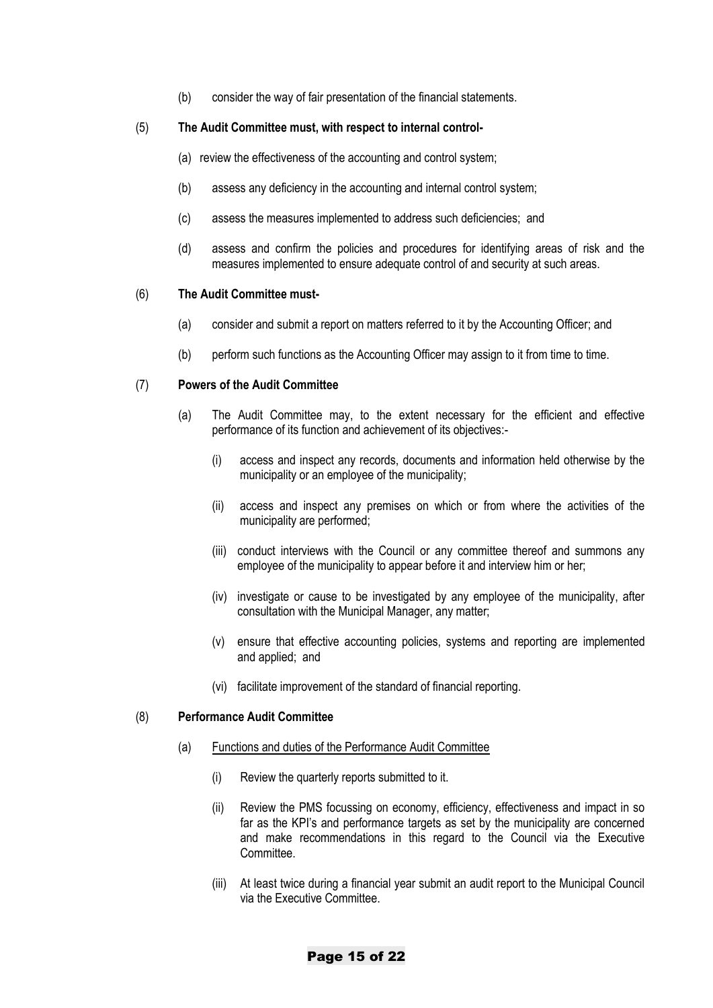(b) consider the way of fair presentation of the financial statements.

#### (5) **The Audit Committee must, with respect to internal control-**

- (a) review the effectiveness of the accounting and control system;
- (b) assess any deficiency in the accounting and internal control system;
- (c) assess the measures implemented to address such deficiencies; and
- (d) assess and confirm the policies and procedures for identifying areas of risk and the measures implemented to ensure adequate control of and security at such areas.

#### (6) **The Audit Committee must-**

- (a) consider and submit a report on matters referred to it by the Accounting Officer; and
- (b) perform such functions as the Accounting Officer may assign to it from time to time.

#### (7) **Powers of the Audit Committee**

- (a) The Audit Committee may, to the extent necessary for the efficient and effective performance of its function and achievement of its objectives:-
	- (i) access and inspect any records, documents and information held otherwise by the municipality or an employee of the municipality;
	- (ii) access and inspect any premises on which or from where the activities of the municipality are performed;
	- (iii) conduct interviews with the Council or any committee thereof and summons any employee of the municipality to appear before it and interview him or her;
	- (iv) investigate or cause to be investigated by any employee of the municipality, after consultation with the Municipal Manager, any matter;
	- (v) ensure that effective accounting policies, systems and reporting are implemented and applied; and
	- (vi) facilitate improvement of the standard of financial reporting.

#### (8) **Performance Audit Committee**

#### (a) Functions and duties of the Performance Audit Committee

- (i) Review the quarterly reports submitted to it.
- (ii) Review the PMS focussing on economy, efficiency, effectiveness and impact in so far as the KPI's and performance targets as set by the municipality are concerned and make recommendations in this regard to the Council via the Executive Committee.
- (iii) At least twice during a financial year submit an audit report to the Municipal Council via the Executive Committee.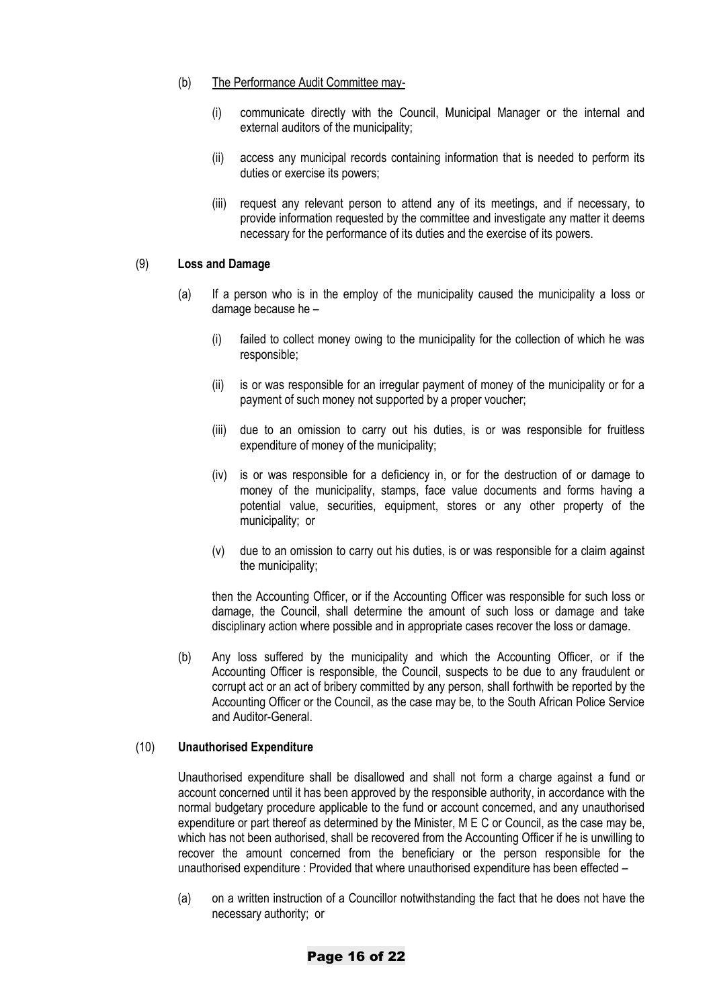- (b) The Performance Audit Committee may-
	- (i) communicate directly with the Council, Municipal Manager or the internal and external auditors of the municipality;
	- (ii) access any municipal records containing information that is needed to perform its duties or exercise its powers;
	- (iii) request any relevant person to attend any of its meetings, and if necessary, to provide information requested by the committee and investigate any matter it deems necessary for the performance of its duties and the exercise of its powers.

#### (9) **Loss and Damage**

- (a) If a person who is in the employ of the municipality caused the municipality a loss or damage because he –
	- (i) failed to collect money owing to the municipality for the collection of which he was responsible;
	- (ii) is or was responsible for an irregular payment of money of the municipality or for a payment of such money not supported by a proper voucher;
	- (iii) due to an omission to carry out his duties, is or was responsible for fruitless expenditure of money of the municipality;
	- (iv) is or was responsible for a deficiency in, or for the destruction of or damage to money of the municipality, stamps, face value documents and forms having a potential value, securities, equipment, stores or any other property of the municipality; or
	- (v) due to an omission to carry out his duties, is or was responsible for a claim against the municipality;

then the Accounting Officer, or if the Accounting Officer was responsible for such loss or damage, the Council, shall determine the amount of such loss or damage and take disciplinary action where possible and in appropriate cases recover the loss or damage.

(b) Any loss suffered by the municipality and which the Accounting Officer, or if the Accounting Officer is responsible, the Council, suspects to be due to any fraudulent or corrupt act or an act of bribery committed by any person, shall forthwith be reported by the Accounting Officer or the Council, as the case may be, to the South African Police Service and Auditor-General.

#### (10) **Unauthorised Expenditure**

Unauthorised expenditure shall be disallowed and shall not form a charge against a fund or account concerned until it has been approved by the responsible authority, in accordance with the normal budgetary procedure applicable to the fund or account concerned, and any unauthorised expenditure or part thereof as determined by the Minister, M E C or Council, as the case may be, which has not been authorised, shall be recovered from the Accounting Officer if he is unwilling to recover the amount concerned from the beneficiary or the person responsible for the unauthorised expenditure : Provided that where unauthorised expenditure has been effected –

(a) on a written instruction of a Councillor notwithstanding the fact that he does not have the necessary authority; or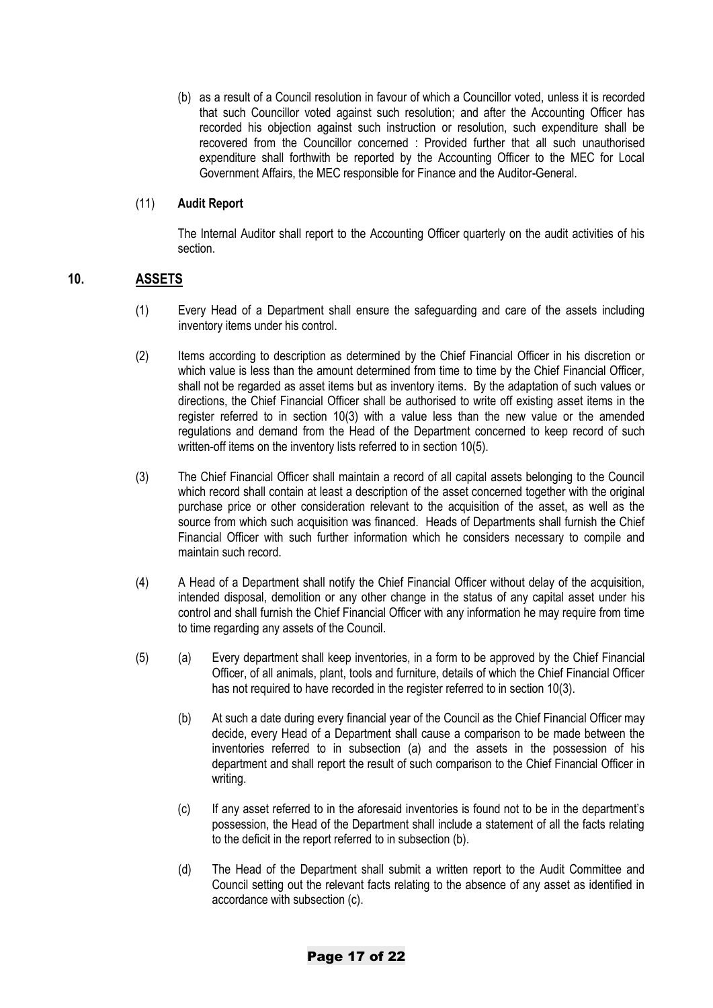(b) as a result of a Council resolution in favour of which a Councillor voted, unless it is recorded that such Councillor voted against such resolution; and after the Accounting Officer has recorded his objection against such instruction or resolution, such expenditure shall be recovered from the Councillor concerned : Provided further that all such unauthorised expenditure shall forthwith be reported by the Accounting Officer to the MEC for Local Government Affairs, the MEC responsible for Finance and the Auditor-General.

#### (11) **Audit Report**

The Internal Auditor shall report to the Accounting Officer quarterly on the audit activities of his section.

## **10. ASSETS**

- (1) Every Head of a Department shall ensure the safeguarding and care of the assets including inventory items under his control.
- (2) Items according to description as determined by the Chief Financial Officer in his discretion or which value is less than the amount determined from time to time by the Chief Financial Officer, shall not be regarded as asset items but as inventory items. By the adaptation of such values or directions, the Chief Financial Officer shall be authorised to write off existing asset items in the register referred to in section 10(3) with a value less than the new value or the amended regulations and demand from the Head of the Department concerned to keep record of such written-off items on the inventory lists referred to in section 10(5).
- (3) The Chief Financial Officer shall maintain a record of all capital assets belonging to the Council which record shall contain at least a description of the asset concerned together with the original purchase price or other consideration relevant to the acquisition of the asset, as well as the source from which such acquisition was financed. Heads of Departments shall furnish the Chief Financial Officer with such further information which he considers necessary to compile and maintain such record.
- (4) A Head of a Department shall notify the Chief Financial Officer without delay of the acquisition, intended disposal, demolition or any other change in the status of any capital asset under his control and shall furnish the Chief Financial Officer with any information he may require from time to time regarding any assets of the Council.
- (5) (a) Every department shall keep inventories, in a form to be approved by the Chief Financial Officer, of all animals, plant, tools and furniture, details of which the Chief Financial Officer has not required to have recorded in the register referred to in section 10(3).
	- (b) At such a date during every financial year of the Council as the Chief Financial Officer may decide, every Head of a Department shall cause a comparison to be made between the inventories referred to in subsection (a) and the assets in the possession of his department and shall report the result of such comparison to the Chief Financial Officer in writing.
	- (c) If any asset referred to in the aforesaid inventories is found not to be in the department's possession, the Head of the Department shall include a statement of all the facts relating to the deficit in the report referred to in subsection (b).
	- (d) The Head of the Department shall submit a written report to the Audit Committee and Council setting out the relevant facts relating to the absence of any asset as identified in accordance with subsection (c).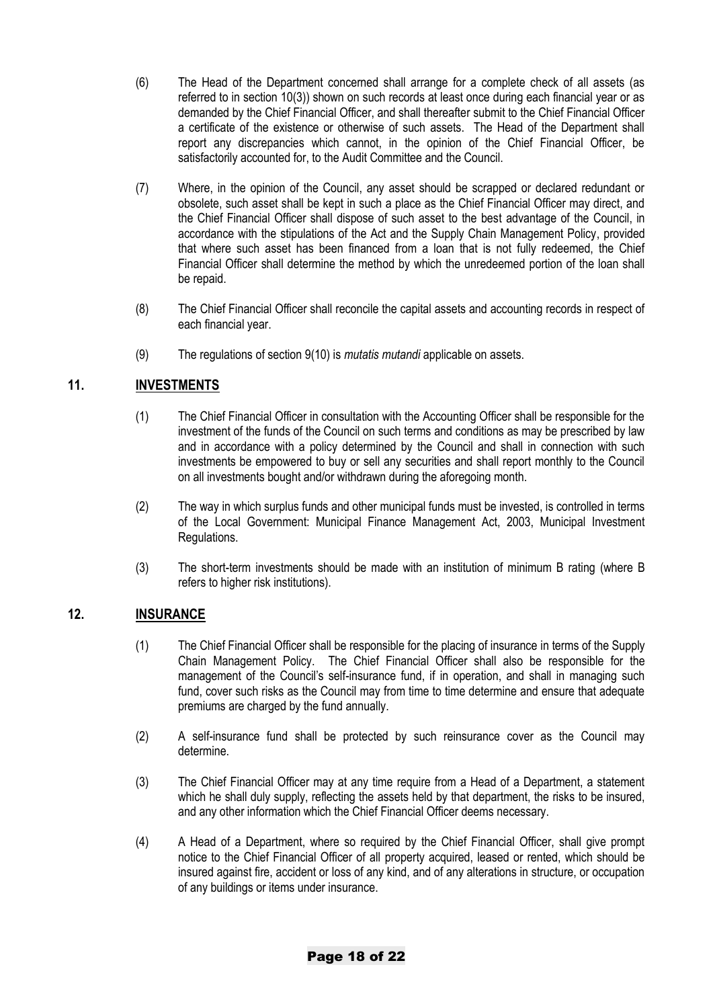- (6) The Head of the Department concerned shall arrange for a complete check of all assets (as referred to in section 10(3)) shown on such records at least once during each financial year or as demanded by the Chief Financial Officer, and shall thereafter submit to the Chief Financial Officer a certificate of the existence or otherwise of such assets. The Head of the Department shall report any discrepancies which cannot, in the opinion of the Chief Financial Officer, be satisfactorily accounted for, to the Audit Committee and the Council.
- (7) Where, in the opinion of the Council, any asset should be scrapped or declared redundant or obsolete, such asset shall be kept in such a place as the Chief Financial Officer may direct, and the Chief Financial Officer shall dispose of such asset to the best advantage of the Council, in accordance with the stipulations of the Act and the Supply Chain Management Policy, provided that where such asset has been financed from a loan that is not fully redeemed, the Chief Financial Officer shall determine the method by which the unredeemed portion of the loan shall be repaid.
- (8) The Chief Financial Officer shall reconcile the capital assets and accounting records in respect of each financial year.
- (9) The regulations of section 9(10) is *mutatis mutandi* applicable on assets.

# **11. INVESTMENTS**

- (1) The Chief Financial Officer in consultation with the Accounting Officer shall be responsible for the investment of the funds of the Council on such terms and conditions as may be prescribed by law and in accordance with a policy determined by the Council and shall in connection with such investments be empowered to buy or sell any securities and shall report monthly to the Council on all investments bought and/or withdrawn during the aforegoing month.
- (2) The way in which surplus funds and other municipal funds must be invested, is controlled in terms of the Local Government: Municipal Finance Management Act, 2003, Municipal Investment Regulations.
- (3) The short-term investments should be made with an institution of minimum B rating (where B refers to higher risk institutions).

# **12. INSURANCE**

- (1) The Chief Financial Officer shall be responsible for the placing of insurance in terms of the Supply Chain Management Policy. The Chief Financial Officer shall also be responsible for the management of the Council's self-insurance fund, if in operation, and shall in managing such fund, cover such risks as the Council may from time to time determine and ensure that adequate premiums are charged by the fund annually.
- (2) A self-insurance fund shall be protected by such reinsurance cover as the Council may determine.
- (3) The Chief Financial Officer may at any time require from a Head of a Department, a statement which he shall duly supply, reflecting the assets held by that department, the risks to be insured, and any other information which the Chief Financial Officer deems necessary.
- (4) A Head of a Department, where so required by the Chief Financial Officer, shall give prompt notice to the Chief Financial Officer of all property acquired, leased or rented, which should be insured against fire, accident or loss of any kind, and of any alterations in structure, or occupation of any buildings or items under insurance.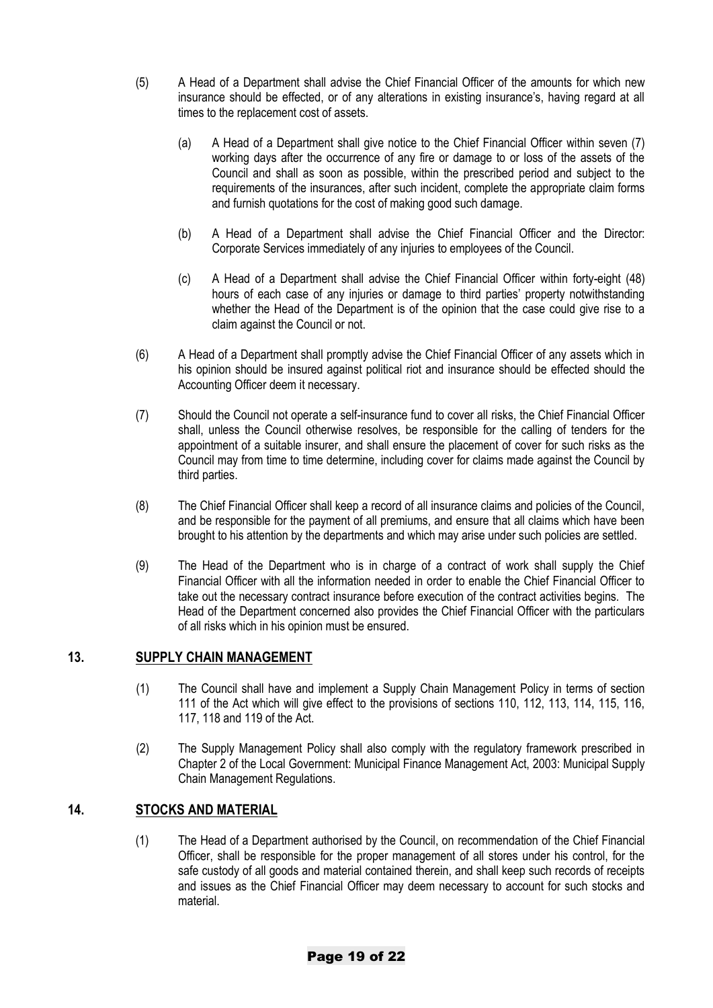- (5) A Head of a Department shall advise the Chief Financial Officer of the amounts for which new insurance should be effected, or of any alterations in existing insurance's, having regard at all times to the replacement cost of assets.
	- (a) A Head of a Department shall give notice to the Chief Financial Officer within seven (7) working days after the occurrence of any fire or damage to or loss of the assets of the Council and shall as soon as possible, within the prescribed period and subject to the requirements of the insurances, after such incident, complete the appropriate claim forms and furnish quotations for the cost of making good such damage.
	- (b) A Head of a Department shall advise the Chief Financial Officer and the Director: Corporate Services immediately of any injuries to employees of the Council.
	- (c) A Head of a Department shall advise the Chief Financial Officer within forty-eight (48) hours of each case of any injuries or damage to third parties' property notwithstanding whether the Head of the Department is of the opinion that the case could give rise to a claim against the Council or not.
- (6) A Head of a Department shall promptly advise the Chief Financial Officer of any assets which in his opinion should be insured against political riot and insurance should be effected should the Accounting Officer deem it necessary.
- (7) Should the Council not operate a self-insurance fund to cover all risks, the Chief Financial Officer shall, unless the Council otherwise resolves, be responsible for the calling of tenders for the appointment of a suitable insurer, and shall ensure the placement of cover for such risks as the Council may from time to time determine, including cover for claims made against the Council by third parties.
- (8) The Chief Financial Officer shall keep a record of all insurance claims and policies of the Council, and be responsible for the payment of all premiums, and ensure that all claims which have been brought to his attention by the departments and which may arise under such policies are settled.
- (9) The Head of the Department who is in charge of a contract of work shall supply the Chief Financial Officer with all the information needed in order to enable the Chief Financial Officer to take out the necessary contract insurance before execution of the contract activities begins. The Head of the Department concerned also provides the Chief Financial Officer with the particulars of all risks which in his opinion must be ensured.

# **13. SUPPLY CHAIN MANAGEMENT**

- (1) The Council shall have and implement a Supply Chain Management Policy in terms of section 111 of the Act which will give effect to the provisions of sections 110, 112, 113, 114, 115, 116, 117, 118 and 119 of the Act.
- (2) The Supply Management Policy shall also comply with the regulatory framework prescribed in Chapter 2 of the Local Government: Municipal Finance Management Act, 2003: Municipal Supply Chain Management Regulations.

# **14. STOCKS AND MATERIAL**

(1) The Head of a Department authorised by the Council, on recommendation of the Chief Financial Officer, shall be responsible for the proper management of all stores under his control, for the safe custody of all goods and material contained therein, and shall keep such records of receipts and issues as the Chief Financial Officer may deem necessary to account for such stocks and material.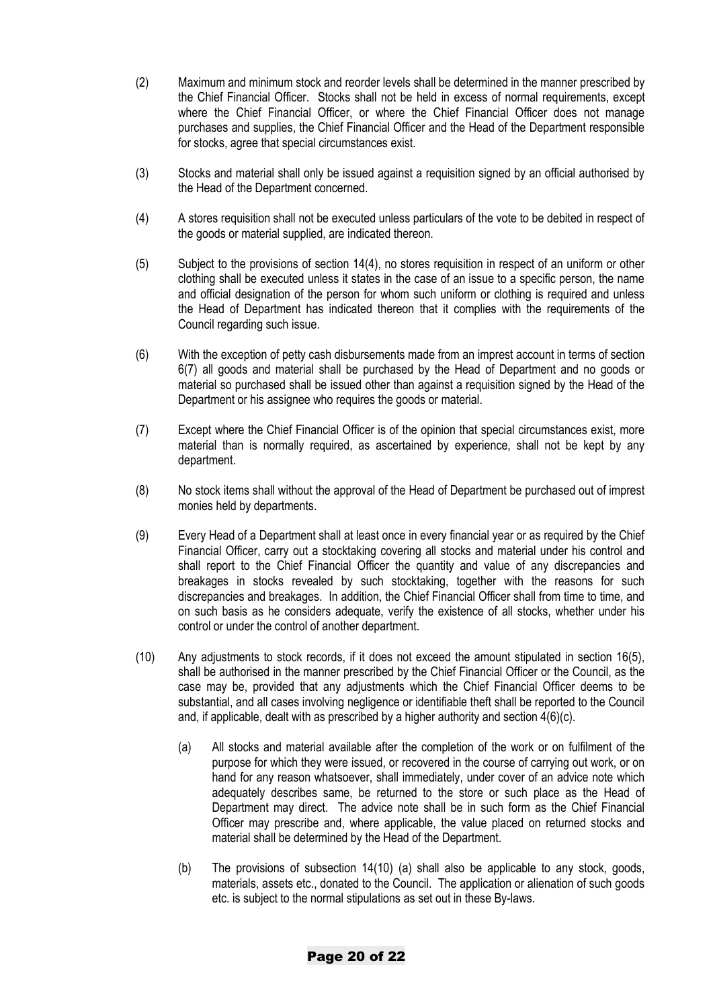- (2) Maximum and minimum stock and reorder levels shall be determined in the manner prescribed by the Chief Financial Officer. Stocks shall not be held in excess of normal requirements, except where the Chief Financial Officer, or where the Chief Financial Officer does not manage purchases and supplies, the Chief Financial Officer and the Head of the Department responsible for stocks, agree that special circumstances exist.
- (3) Stocks and material shall only be issued against a requisition signed by an official authorised by the Head of the Department concerned.
- (4) A stores requisition shall not be executed unless particulars of the vote to be debited in respect of the goods or material supplied, are indicated thereon.
- (5) Subject to the provisions of section 14(4), no stores requisition in respect of an uniform or other clothing shall be executed unless it states in the case of an issue to a specific person, the name and official designation of the person for whom such uniform or clothing is required and unless the Head of Department has indicated thereon that it complies with the requirements of the Council regarding such issue.
- (6) With the exception of petty cash disbursements made from an imprest account in terms of section 6(7) all goods and material shall be purchased by the Head of Department and no goods or material so purchased shall be issued other than against a requisition signed by the Head of the Department or his assignee who requires the goods or material.
- (7) Except where the Chief Financial Officer is of the opinion that special circumstances exist, more material than is normally required, as ascertained by experience, shall not be kept by any department.
- (8) No stock items shall without the approval of the Head of Department be purchased out of imprest monies held by departments.
- (9) Every Head of a Department shall at least once in every financial year or as required by the Chief Financial Officer, carry out a stocktaking covering all stocks and material under his control and shall report to the Chief Financial Officer the quantity and value of any discrepancies and breakages in stocks revealed by such stocktaking, together with the reasons for such discrepancies and breakages. In addition, the Chief Financial Officer shall from time to time, and on such basis as he considers adequate, verify the existence of all stocks, whether under his control or under the control of another department.
- (10) Any adjustments to stock records, if it does not exceed the amount stipulated in section 16(5), shall be authorised in the manner prescribed by the Chief Financial Officer or the Council, as the case may be, provided that any adjustments which the Chief Financial Officer deems to be substantial, and all cases involving negligence or identifiable theft shall be reported to the Council and, if applicable, dealt with as prescribed by a higher authority and section 4(6)(c).
	- (a) All stocks and material available after the completion of the work or on fulfilment of the purpose for which they were issued, or recovered in the course of carrying out work, or on hand for any reason whatsoever, shall immediately, under cover of an advice note which adequately describes same, be returned to the store or such place as the Head of Department may direct. The advice note shall be in such form as the Chief Financial Officer may prescribe and, where applicable, the value placed on returned stocks and material shall be determined by the Head of the Department.
	- (b) The provisions of subsection 14(10) (a) shall also be applicable to any stock, goods, materials, assets etc., donated to the Council. The application or alienation of such goods etc. is subject to the normal stipulations as set out in these By-laws.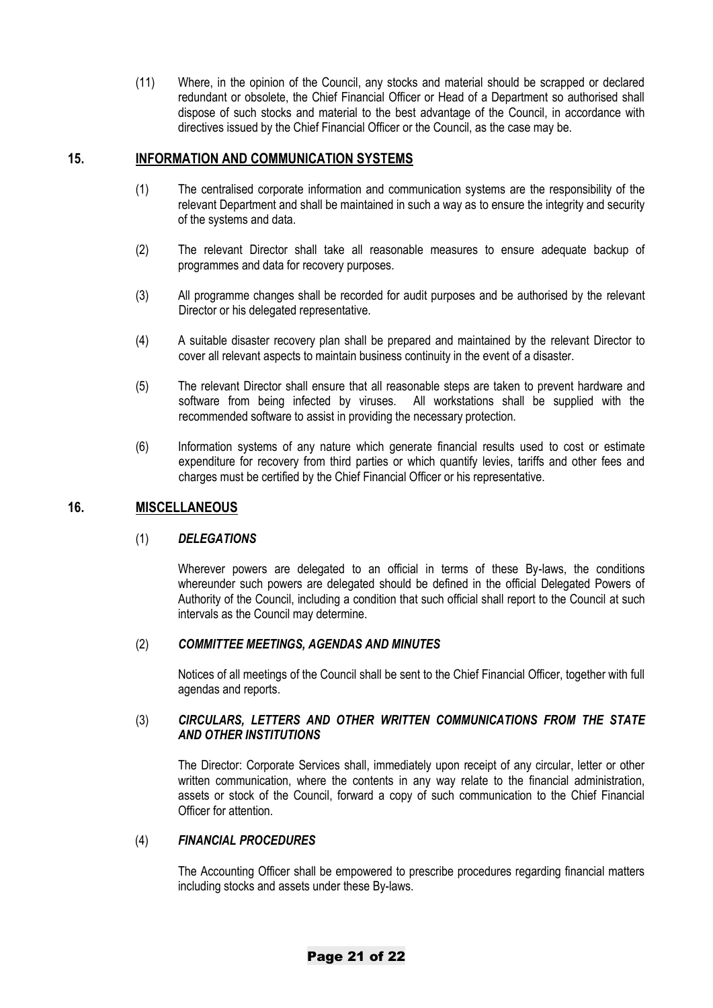(11) Where, in the opinion of the Council, any stocks and material should be scrapped or declared redundant or obsolete, the Chief Financial Officer or Head of a Department so authorised shall dispose of such stocks and material to the best advantage of the Council, in accordance with directives issued by the Chief Financial Officer or the Council, as the case may be.

#### **15. INFORMATION AND COMMUNICATION SYSTEMS**

- (1) The centralised corporate information and communication systems are the responsibility of the relevant Department and shall be maintained in such a way as to ensure the integrity and security of the systems and data.
- (2) The relevant Director shall take all reasonable measures to ensure adequate backup of programmes and data for recovery purposes.
- (3) All programme changes shall be recorded for audit purposes and be authorised by the relevant Director or his delegated representative.
- (4) A suitable disaster recovery plan shall be prepared and maintained by the relevant Director to cover all relevant aspects to maintain business continuity in the event of a disaster.
- (5) The relevant Director shall ensure that all reasonable steps are taken to prevent hardware and software from being infected by viruses. All workstations shall be supplied with the recommended software to assist in providing the necessary protection.
- (6) Information systems of any nature which generate financial results used to cost or estimate expenditure for recovery from third parties or which quantify levies, tariffs and other fees and charges must be certified by the Chief Financial Officer or his representative.

#### **16. MISCELLANEOUS**

#### (1) *DELEGATIONS*

Wherever powers are delegated to an official in terms of these By-laws, the conditions whereunder such powers are delegated should be defined in the official Delegated Powers of Authority of the Council, including a condition that such official shall report to the Council at such intervals as the Council may determine.

#### (2) *COMMITTEE MEETINGS, AGENDAS AND MINUTES*

Notices of all meetings of the Council shall be sent to the Chief Financial Officer, together with full agendas and reports.

#### (3) *CIRCULARS, LETTERS AND OTHER WRITTEN COMMUNICATIONS FROM THE STATE AND OTHER INSTITUTIONS*

The Director: Corporate Services shall, immediately upon receipt of any circular, letter or other written communication, where the contents in any way relate to the financial administration, assets or stock of the Council, forward a copy of such communication to the Chief Financial Officer for attention.

#### (4) *FINANCIAL PROCEDURES*

The Accounting Officer shall be empowered to prescribe procedures regarding financial matters including stocks and assets under these By-laws.